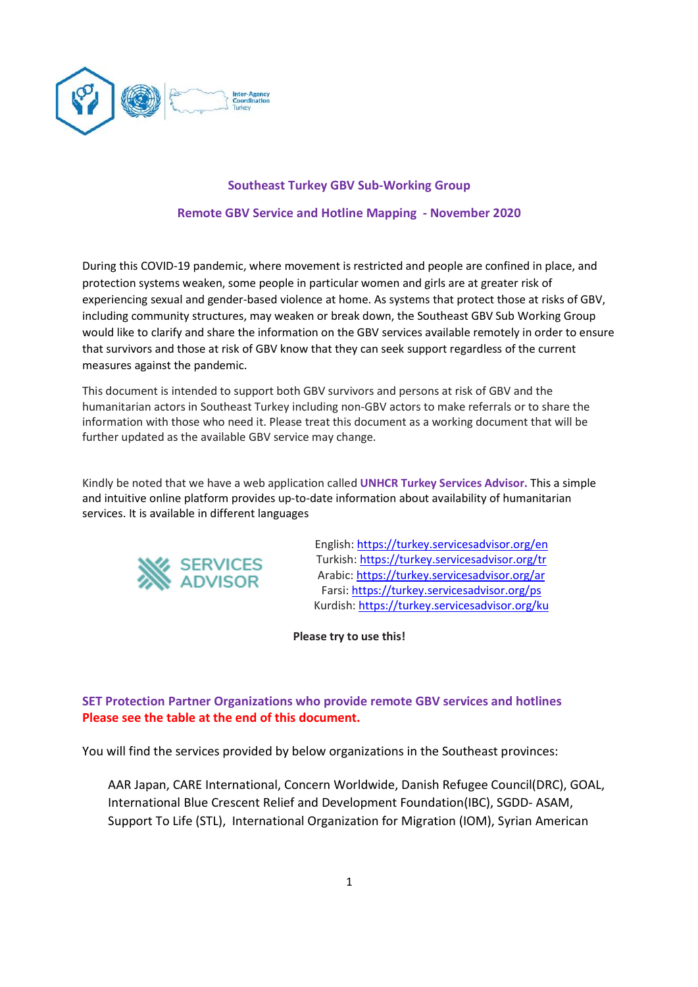

## Southeast Turkey GBV Sub-Working Group

## Remote GBV Service and Hotline Mapping - November 2020

During this COVID-19 pandemic, where movement is restricted and people are confined in place, and protection systems weaken, some people in particular women and girls are at greater risk of experiencing sexual and gender-based violence at home. As systems that protect those at risks of GBV, including community structures, may weaken or break down, the Southeast GBV Sub Working Group would like to clarify and share the information on the GBV services available remotely in order to ensure that survivors and those at risk of GBV know that they can seek support regardless of the current measures against the pandemic.

This document is intended to support both GBV survivors and persons at risk of GBV and the humanitarian actors in Southeast Turkey including non-GBV actors to make referrals or to share the information with those who need it. Please treat this document as a working document that will be further updated as the available GBV service may change.

Kindly be noted that we have a web application called UNHCR Turkey Services Advisor. This a simple and intuitive online platform provides up-to-date information about availability of humanitarian services. It is available in different languages



English: https://turkey.servicesadvisor.org/en Turkish: https://turkey.servicesadvisor.org/tr Arabic: https://turkey.servicesadvisor.org/ar Farsi: https://turkey.servicesadvisor.org/ps Kurdish: https://turkey.servicesadvisor.org/ku

Please try to use this!

# SET Protection Partner Organizations who provide remote GBV services and hotlines Please see the table at the end of this document.

You will find the services provided by below organizations in the Southeast provinces:

AAR Japan, CARE International, Concern Worldwide, Danish Refugee Council(DRC), GOAL, International Blue Crescent Relief and Development Foundation(IBC), SGDD- ASAM, Support To Life (STL), International Organization for Migration (IOM), Syrian American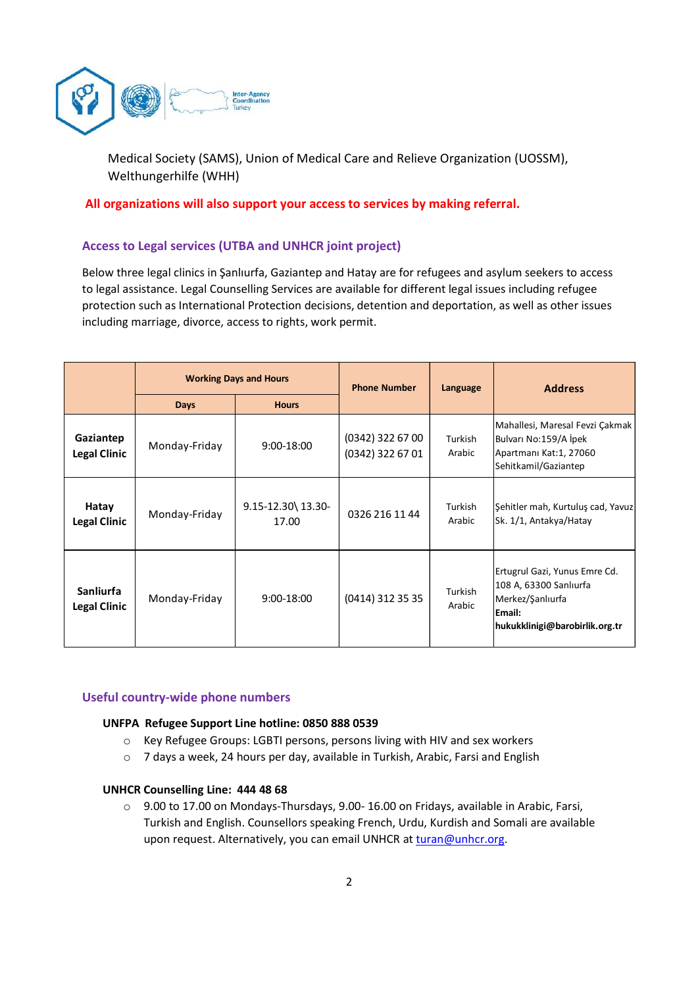

### All organizations will also support your access to services by making referral.

## Access to Legal services (UTBA and UNHCR joint project)

|                                  |                               | <b>Inter-Agency</b><br>Coordination<br>Turkey                                   |                     |                   |                                                                                                                                                                                                                                                                                                                                      |  |
|----------------------------------|-------------------------------|---------------------------------------------------------------------------------|---------------------|-------------------|--------------------------------------------------------------------------------------------------------------------------------------------------------------------------------------------------------------------------------------------------------------------------------------------------------------------------------------|--|
|                                  | Welthungerhilfe (WHH)         | Medical Society (SAMS), Union of Medical Care and Relieve Organization (UOSSM), |                     |                   |                                                                                                                                                                                                                                                                                                                                      |  |
|                                  |                               | All organizations will also support your access to services by making referral. |                     |                   |                                                                                                                                                                                                                                                                                                                                      |  |
|                                  |                               | <b>Access to Legal services (UTBA and UNHCR joint project)</b>                  |                     |                   |                                                                                                                                                                                                                                                                                                                                      |  |
|                                  |                               | including marriage, divorce, access to rights, work permit.                     |                     |                   | Below three legal clinics in Şanlıurfa, Gaziantep and Hatay are for refugees and asylum seekers to access<br>to legal assistance. Legal Counselling Services are available for different legal issues including refugee<br>protection such as International Protection decisions, detention and deportation, as well as other issues |  |
|                                  | <b>Working Days and Hours</b> |                                                                                 | <b>Phone Number</b> | Language          | <b>Address</b>                                                                                                                                                                                                                                                                                                                       |  |
|                                  | <b>Days</b>                   | <b>Hours</b>                                                                    |                     |                   |                                                                                                                                                                                                                                                                                                                                      |  |
| Gaziantep<br><b>Legal Clinic</b> | Monday-Friday                 | (0342) 322 67 00<br>9:00-18:00<br>(0342) 322 67 01                              |                     | Turkish<br>Arabic | Mahallesi, Maresal Fevzi Çakmak<br>Bulvarı No:159/A İpek<br>Apartmanı Kat:1, 27060<br>Sehitkamil/Gaziantep                                                                                                                                                                                                                           |  |
| Hatay<br><b>Legal Clinic</b>     | Monday-Friday                 | 9.15-12.30\13.30-<br>17.00                                                      | 0326 216 11 44      | Turkish<br>Arabic | Şehitler mah, Kurtuluş cad, Yavuz<br>Sk. 1/1, Antakya/Hatay                                                                                                                                                                                                                                                                          |  |
|                                  | Monday-Friday                 | 9:00-18:00                                                                      | (0414) 312 35 35    | Turkish<br>Arabic | Ertugrul Gazi, Yunus Emre Cd.<br>108 A, 63300 Sanlıurfa<br>Merkez/Şanlıurfa<br>Email:<br>hukukklinigi@barobirlik.org.tr                                                                                                                                                                                                              |  |

### Useful country-wide phone numbers

### UNFPA Refugee Support Line hotline: 0850 888 0539

- o Key Refugee Groups: LGBTI persons, persons living with HIV and sex workers
- o 7 days a week, 24 hours per day, available in Turkish, Arabic, Farsi and English

### UNHCR Counselling Line: 444 48 68

 $\circ$  9.00 to 17.00 on Mondays-Thursdays, 9.00-16.00 on Fridays, available in Arabic, Farsi, Turkish and English. Counsellors speaking French, Urdu, Kurdish and Somali are available upon request. Alternatively, you can email UNHCR at turan@unhcr.org.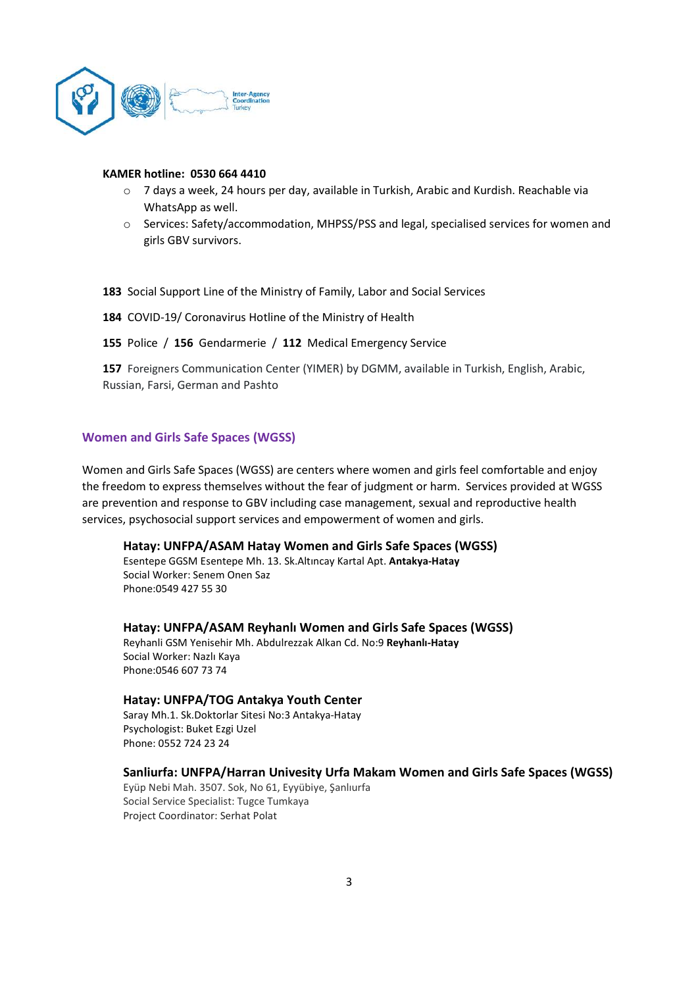

#### KAMER hotline: 0530 664 4410

- o 7 days a week, 24 hours per day, available in Turkish, Arabic and Kurdish. Reachable via WhatsApp as well.
- o Services: Safety/accommodation, MHPSS/PSS and legal, specialised services for women and girls GBV survivors.

183 Social Support Line of the Ministry of Family, Labor and Social Services

- 184 COVID-19/ Coronavirus Hotline of the Ministry of Health
- 155 Police / 156 Gendarmerie / 112 Medical Emergency Service

157 Foreigners Communication Center (YIMER) by DGMM, available in Turkish, English, Arabic, Russian, Farsi, German and Pashto

### Women and Girls Safe Spaces (WGSS)

Women and Girls Safe Spaces (WGSS) are centers where women and girls feel comfortable and enjoy the freedom to express themselves without the fear of judgment or harm. Services provided at WGSS are prevention and response to GBV including case management, sexual and reproductive health services, psychosocial support services and empowerment of women and girls.

### Hatay: UNFPA/ASAM Hatay Women and Girls Safe Spaces (WGSS)

Esentepe GGSM Esentepe Mh. 13. Sk.Altıncay Kartal Apt. Antakya-Hatay Social Worker: Senem Onen Saz Phone:0549 427 55 30

Hatay: UNFPA/ASAM Reyhanlı Women and Girls Safe Spaces (WGSS)

Reyhanli GSM Yenisehir Mh. Abdulrezzak Alkan Cd. No:9 Reyhanlı-Hatay Social Worker: Nazlı Kaya Phone:0546 607 73 74

### Hatay: UNFPA/TOG Antakya Youth Center

Saray Mh.1. Sk.Doktorlar Sitesi No:3 Antakya-Hatay Psychologist: Buket Ezgi Uzel Phone: 0552 724 23 24

### Sanliurfa: UNFPA/Harran Univesity Urfa Makam Women and Girls Safe Spaces (WGSS)

Eyüp Nebi Mah. 3507. Sok, No 61, Eyyübiye, Şanlıurfa Social Service Specialist: Tugce Tumkaya Project Coordinator: Serhat Polat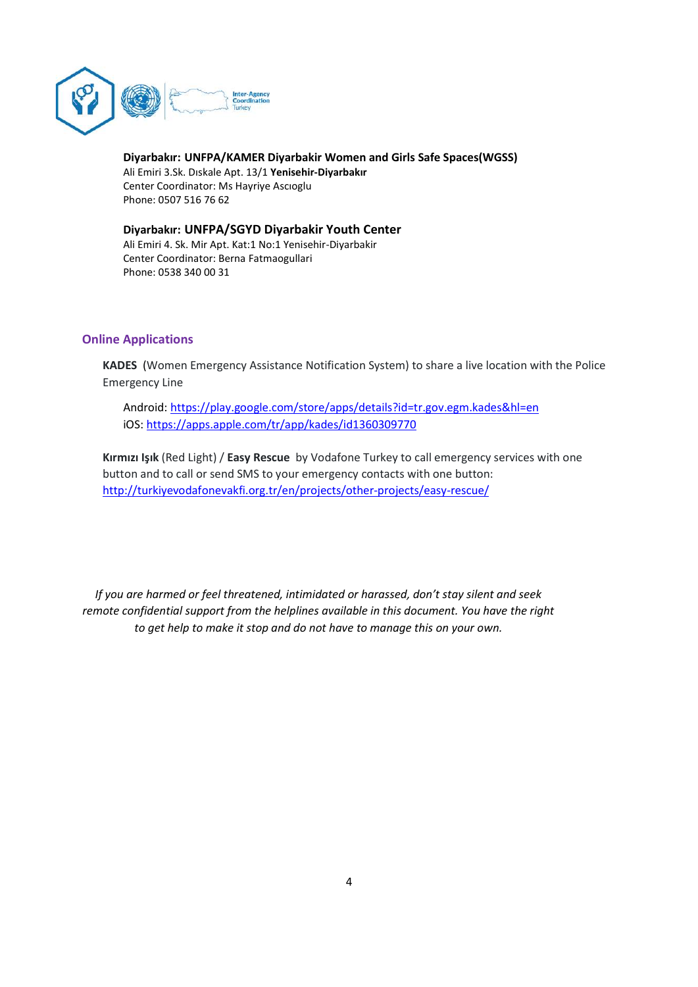

Diyarbakır: UNFPA/KAMER Diyarbakir Women and Girls Safe Spaces(WGSS) Ali Emiri 3.Sk. Dıskale Apt. 13/1 Yenisehir-Diyarbakır Center Coordinator: Ms Hayriye Ascıoglu Phone: 0507 516 76 62

Diyarbakır: UNFPA/SGYD Diyarbakir Youth Center Ali Emiri 4. Sk. Mir Apt. Kat:1 No:1 Yenisehir-Diyarbakir Center Coordinator: Berna Fatmaogullari Phone: 0538 340 00 31

## Online Applications

KADES (Women Emergency Assistance Notification System) to share a live location with the Police Emergency Line

Android: https://play.google.com/store/apps/details?id=tr.gov.egm.kades&hl=en iOS: https://apps.apple.com/tr/app/kades/id1360309770

Kırmızı Işık (Red Light) / Easy Rescue by Vodafone Turkey to call emergency services with one button and to call or send SMS to your emergency contacts with one button: http://turkiyevodafonevakfi.org.tr/en/projects/other-projects/easy-rescue/

If you are harmed or feel threatened, intimidated or harassed, don't stay silent and seek remote confidential support from the helplines available in this document. You have the right to get help to make it stop and do not have to manage this on your own.